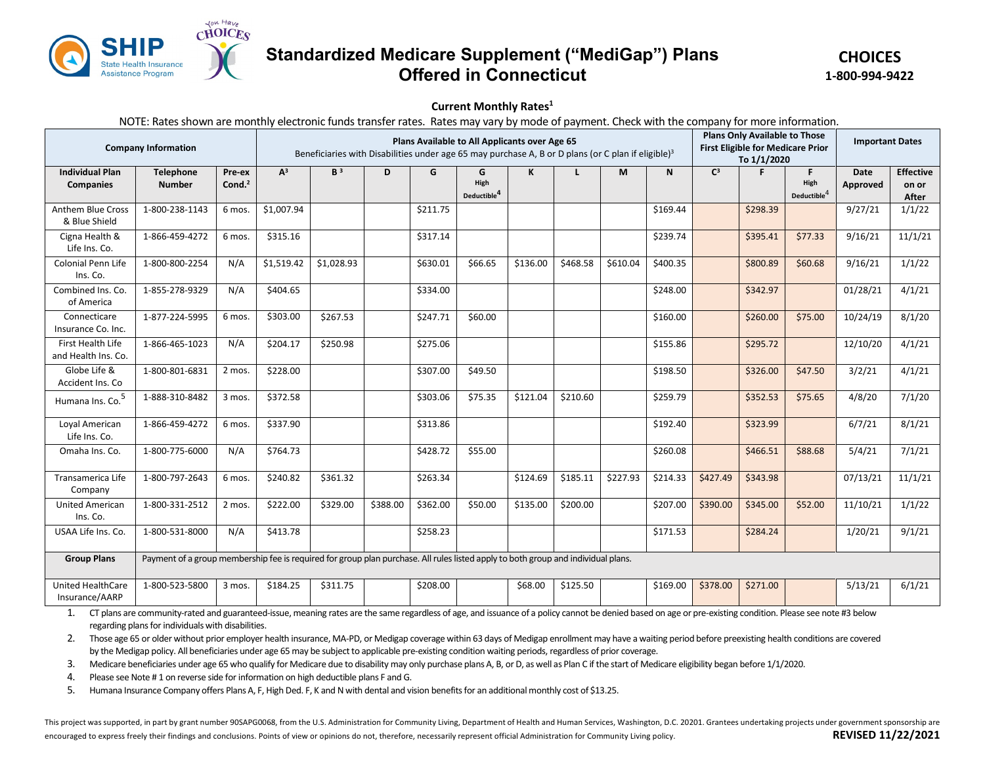

## **Standardized Medicare Supplement ("MediGap") Plans Offered in Connecticut**

**CHOICES 1-800-994-9422**

## **Current Monthly Rates1**

NOTE: Rates shown are monthly electronic funds transfer rates. Rates may vary by mode of payment. Check with the company for more information.

| <b>Company Information</b>                 |                                                                                                                                   |                     | Plans Available to All Applicants over Age 65<br>Beneficiaries with Disabilities under age 65 may purchase A, B or D plans (or C plan if eligible) <sup>3</sup> |                |          |          |                                      |          |          |          |              | <b>Plans Only Available to Those</b><br><b>First Eligible for Medicare Prior</b><br>To 1/1/2020 |          |                                 | <b>Important Dates</b>  |                                           |
|--------------------------------------------|-----------------------------------------------------------------------------------------------------------------------------------|---------------------|-----------------------------------------------------------------------------------------------------------------------------------------------------------------|----------------|----------|----------|--------------------------------------|----------|----------|----------|--------------|-------------------------------------------------------------------------------------------------|----------|---------------------------------|-------------------------|-------------------------------------------|
| <b>Individual Plan</b><br><b>Companies</b> | <b>Telephone</b><br><b>Number</b>                                                                                                 | Pre-ex<br>Cond. $2$ | $A^3$                                                                                                                                                           | B <sup>3</sup> | D        | G        | G<br>High<br>Deductible <sup>4</sup> | K        |          | M        | $\mathsf{N}$ | $C^3$                                                                                           | F        | F.<br>High<br>Deductible $^4\,$ | <b>Date</b><br>Approved | <b>Effective</b><br>on or<br><b>After</b> |
| <b>Anthem Blue Cross</b><br>& Blue Shield  | 1-800-238-1143                                                                                                                    | 6 mos.              | \$1,007.94                                                                                                                                                      |                |          | \$211.75 |                                      |          |          |          | \$169.44     |                                                                                                 | \$298.39 |                                 | 9/27/21                 | 1/1/22                                    |
| Cigna Health &<br>Life Ins. Co.            | 1-866-459-4272                                                                                                                    | 6 mos.              | \$315.16                                                                                                                                                        |                |          | \$317.14 |                                      |          |          |          | \$239.74     |                                                                                                 | \$395.41 | \$77.33                         | 9/16/21                 | 11/1/21                                   |
| Colonial Penn Life<br>Ins. Co.             | 1-800-800-2254                                                                                                                    | N/A                 | \$1,519.42                                                                                                                                                      | \$1,028.93     |          | \$630.01 | \$66.65                              | \$136.00 | \$468.58 | \$610.04 | \$400.35     |                                                                                                 | \$800.89 | \$60.68                         | 9/16/21                 | 1/1/22                                    |
| Combined Ins. Co.<br>of America            | 1-855-278-9329                                                                                                                    | N/A                 | \$404.65                                                                                                                                                        |                |          | \$334.00 |                                      |          |          |          | \$248.00     |                                                                                                 | \$342.97 |                                 | 01/28/21                | 4/1/21                                    |
| Connecticare<br>Insurance Co. Inc.         | 1-877-224-5995                                                                                                                    | 6 mos.              | \$303.00                                                                                                                                                        | \$267.53       |          | \$247.71 | \$60.00                              |          |          |          | \$160.00     |                                                                                                 | \$260.00 | \$75.00                         | 10/24/19                | 8/1/20                                    |
| First Health Life<br>and Health Ins. Co.   | 1-866-465-1023                                                                                                                    | N/A                 | \$204.17                                                                                                                                                        | \$250.98       |          | \$275.06 |                                      |          |          |          | \$155.86     |                                                                                                 | \$295.72 |                                 | 12/10/20                | 4/1/21                                    |
| Globe Life &<br>Accident Ins. Co           | 1-800-801-6831                                                                                                                    | 2 mos.              | \$228.00                                                                                                                                                        |                |          | \$307.00 | \$49.50                              |          |          |          | \$198.50     |                                                                                                 | \$326.00 | \$47.50                         | 3/2/21                  | 4/1/21                                    |
| Humana Ins. Co. <sup>5</sup>               | 1-888-310-8482                                                                                                                    | 3 mos.              | \$372.58                                                                                                                                                        |                |          | \$303.06 | \$75.35                              | \$121.04 | \$210.60 |          | \$259.79     |                                                                                                 | \$352.53 | \$75.65                         | 4/8/20                  | 7/1/20                                    |
| Loyal American<br>Life Ins. Co.            | 1-866-459-4272                                                                                                                    | 6 mos.              | \$337.90                                                                                                                                                        |                |          | \$313.86 |                                      |          |          |          | \$192.40     |                                                                                                 | \$323.99 |                                 | 6/7/21                  | 8/1/21                                    |
| Omaha Ins. Co.                             | 1-800-775-6000                                                                                                                    | N/A                 | \$764.73                                                                                                                                                        |                |          | \$428.72 | \$55.00                              |          |          |          | \$260.08     |                                                                                                 | \$466.51 | \$88.68                         | 5/4/21                  | 7/1/21                                    |
| Transamerica Life<br>Company               | 1-800-797-2643                                                                                                                    | 6 mos.              | \$240.82                                                                                                                                                        | \$361.32       |          | \$263.34 |                                      | \$124.69 | \$185.11 | \$227.93 | \$214.33     | \$427.49                                                                                        | \$343.98 |                                 | 07/13/21                | 11/1/21                                   |
| <b>United American</b><br>Ins. Co.         | 1-800-331-2512                                                                                                                    | 2 mos.              | \$222.00                                                                                                                                                        | \$329.00       | \$388.00 | \$362.00 | \$50.00                              | \$135.00 | \$200.00 |          | \$207.00     | \$390.00                                                                                        | \$345.00 | \$52.00                         | 11/10/21                | 1/1/22                                    |
| USAA Life Ins. Co.                         | 1-800-531-8000                                                                                                                    | N/A                 | \$413.78                                                                                                                                                        |                |          | \$258.23 |                                      |          |          |          | \$171.53     |                                                                                                 | \$284.24 |                                 | 1/20/21                 | 9/1/21                                    |
| <b>Group Plans</b>                         | Payment of a group membership fee is required for group plan purchase. All rules listed apply to both group and individual plans. |                     |                                                                                                                                                                 |                |          |          |                                      |          |          |          |              |                                                                                                 |          |                                 |                         |                                           |
| United HealthCare<br>Insurance/AARP        | 1-800-523-5800                                                                                                                    | 3 mos.              | \$184.25                                                                                                                                                        | \$311.75       |          | \$208.00 |                                      | \$68.00  | \$125.50 |          | \$169.00     | \$378.00                                                                                        | \$271.00 |                                 | 5/13/21                 | 6/1/21                                    |

1. CT plans are community-rated and guaranteed-issue, meaning rates are the same regardless of age, and issuance of a policy cannot be denied based on age or pre-existing condition. Please see note #3 below regarding plans for individuals with disabilities.

2. Those age 65 or older without prior employer health insurance, MA-PD, or Medigap coverage within 63 days of Medigap enrollment may have a waiting period before preexisting health conditions are covered by the Medigap policy. All beneficiaries under age 65 may be subject to applicable pre-existing condition waiting periods, regardless of prior coverage.

3. Medicare beneficiaries under age 65 who qualify for Medicare due to disability may only purchase plans A, B, or D, as well as Plan C if the start of Medicare eligibility began before 1/1/2020.

4. Please see Note # 1 on reverse side for information on high deductible plans F and G.

5. Humana Insurance Company offers Plans A, F, High Ded. F, K and N with dental and vision benefits for an additional monthly cost of \$13.25.

This project was supported, in part by grant number 90SAPG0068, from the U.S. Administration for Community Living, Department of Health and Human Services, Washington, D.C. 20201. Grantees undertaking projects under govern encouraged to express freely their findings and conclusions. Points of view or opinions do not, therefore, necessarily represent official Administration for Community Living policy. **REVISED 11/22/2021**